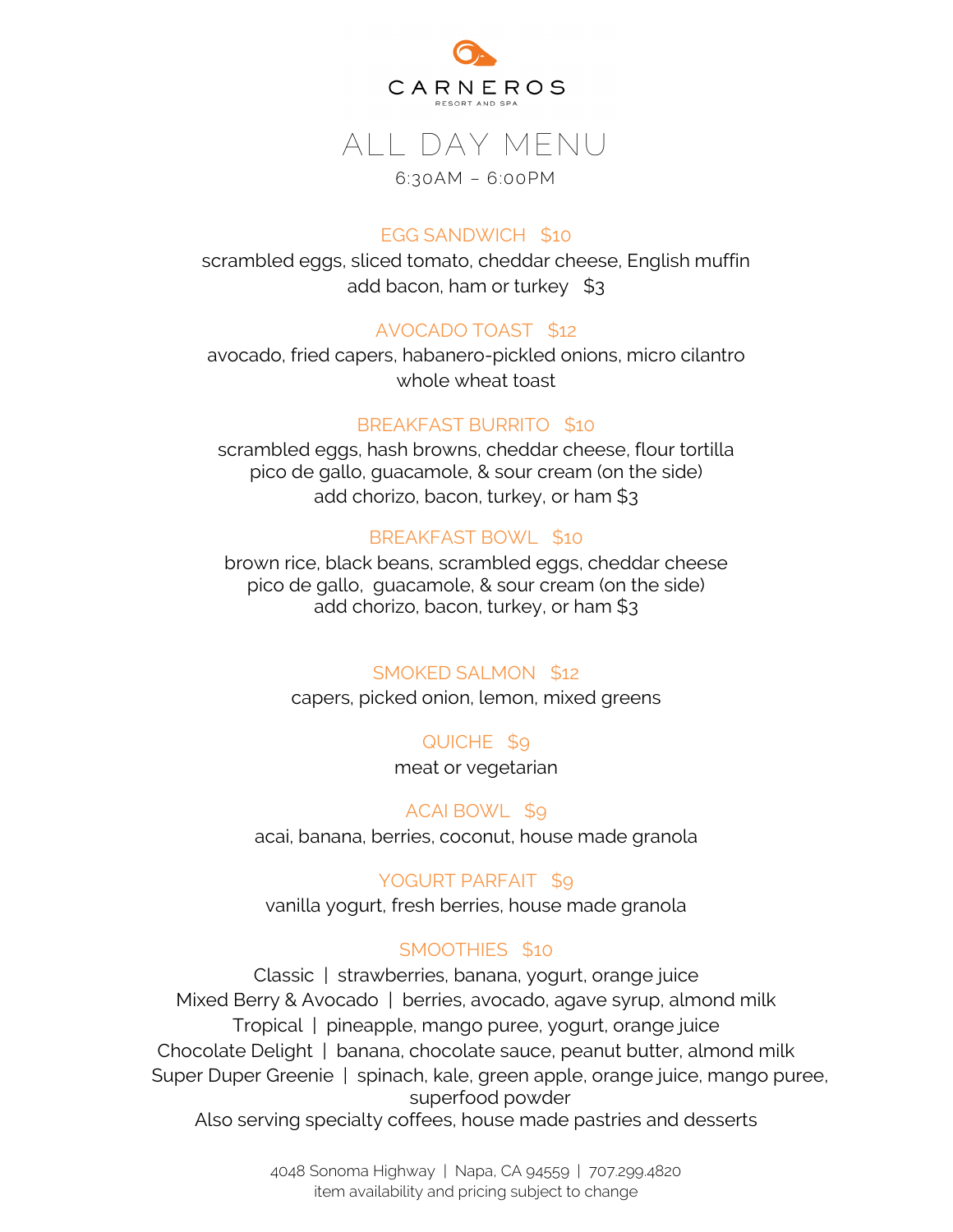

# ALL DAY MENU

#### 6:30AM – 6:00PM

#### EGG SANDWICH \$10

scrambled eggs, sliced tomato, cheddar cheese, English muffin add bacon, ham or turkey \$3

### AVOCADO TOAST \$12

avocado, fried capers, habanero-pickled onions, micro cilantro whole wheat toast

#### BREAKFAST BURRITO \$10

scrambled eggs, hash browns, cheddar cheese, flour tortilla pico de gallo, guacamole, & sour cream (on the side) add chorizo, bacon, turkey, or ham \$3

### BREAKFAST BOWL \$10

brown rice, black beans, scrambled eggs, cheddar cheese pico de gallo, guacamole, & sour cream (on the side) add chorizo, bacon, turkey, or ham \$3

#### SMOKED SALMON \$12

capers, picked onion, lemon, mixed greens

# QUICHE \$9

meat or vegetarian

# ACAI BOWL \$9

acai, banana, berries, coconut, house made granola

# YOGURT PARFAIT \$9

vanilla yogurt, fresh berries, house made granola

#### SMOOTHIES \$10

Classic | strawberries, banana, yogurt, orange juice Mixed Berry & Avocado | berries, avocado, agave syrup, almond milk Tropical | pineapple, mango puree, yogurt, orange juice Chocolate Delight | banana, chocolate sauce, peanut butter, almond milk Super Duper Greenie | spinach, kale, green apple, orange juice, mango puree, superfood powder Also serving specialty coffees, house made pastries and desserts

> 4048 Sonoma Highway | Napa, CA 94559 | 707.299.4820 item availability and pricing subject to change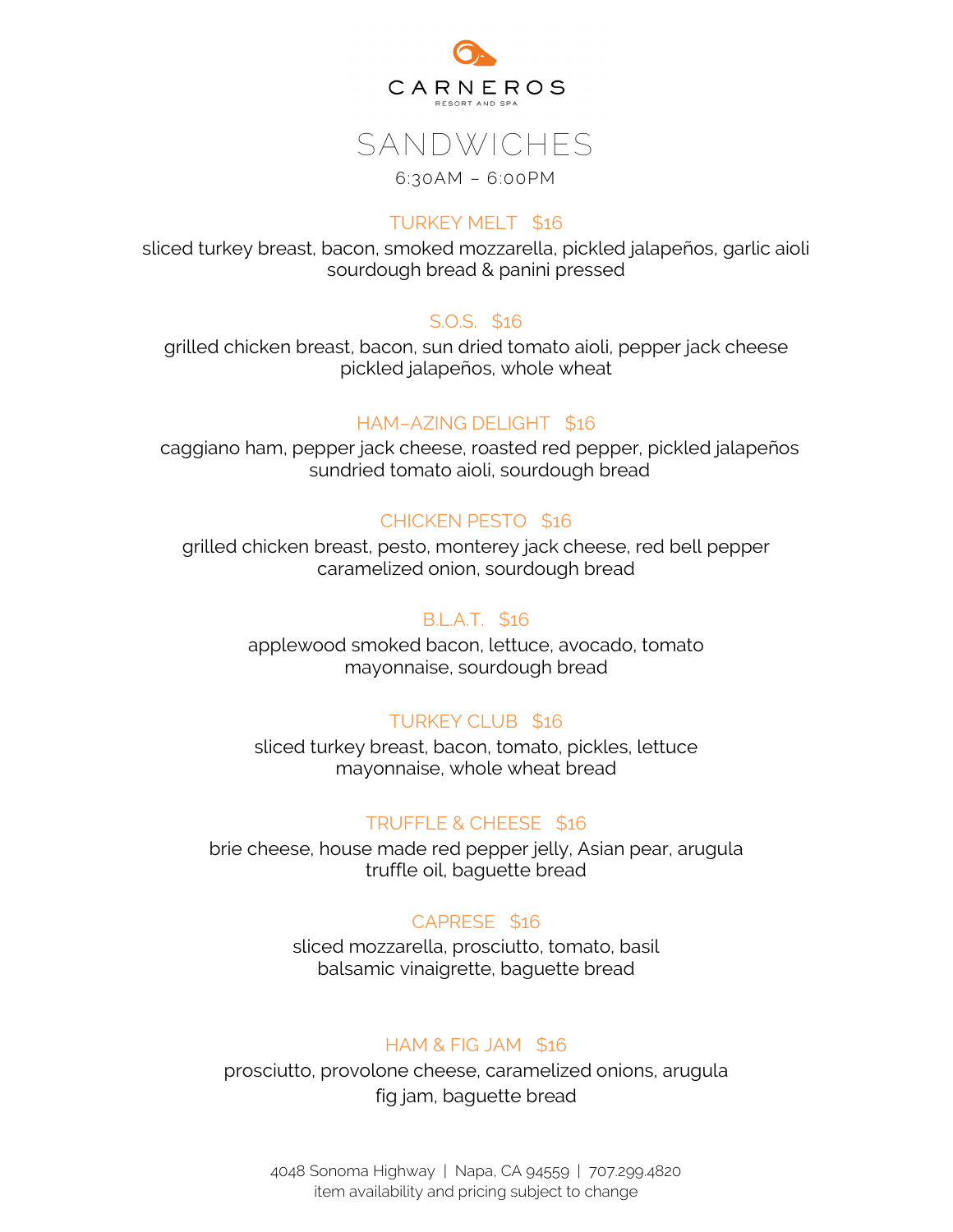

# SANDWICHES 6:30AM – 6:00PM

#### TURKEY MELT \$16

sliced turkey breast, bacon, smoked mozzarella, pickled jalapeños, garlic aioli sourdough bread & panini pressed

#### S.O.S. \$16

grilled chicken breast, bacon, sun dried tomato aioli, pepper jack cheese pickled jalapeños, whole wheat

#### HAM–AZING DELIGHT \$16

caggiano ham, pepper jack cheese, roasted red pepper, pickled jalapeños sundried tomato aioli, sourdough bread

#### CHICKEN PESTO \$16

grilled chicken breast, pesto, monterey jack cheese, red bell pepper caramelized onion, sourdough bread

#### B.L.A.T. \$16

applewood smoked bacon, lettuce, avocado, tomato mayonnaise, sourdough bread

#### TURKEY CLUB \$16

sliced turkey breast, bacon, tomato, pickles, lettuce mayonnaise, whole wheat bread

#### TRUFFLE & CHEESE \$16

brie cheese, house made red pepper jelly, Asian pear, arugula truffle oil, baguette bread

#### CAPRESE \$16

sliced mozzarella, prosciutto, tomato, basil balsamic vinaigrette, baguette bread

#### HAM & FIG JAM \$16

prosciutto, provolone cheese, caramelized onions, arugula fig jam, baguette bread

4048 Sonoma Highway | Napa, CA 94559 | 707.299.4820 item availability and pricing subject to change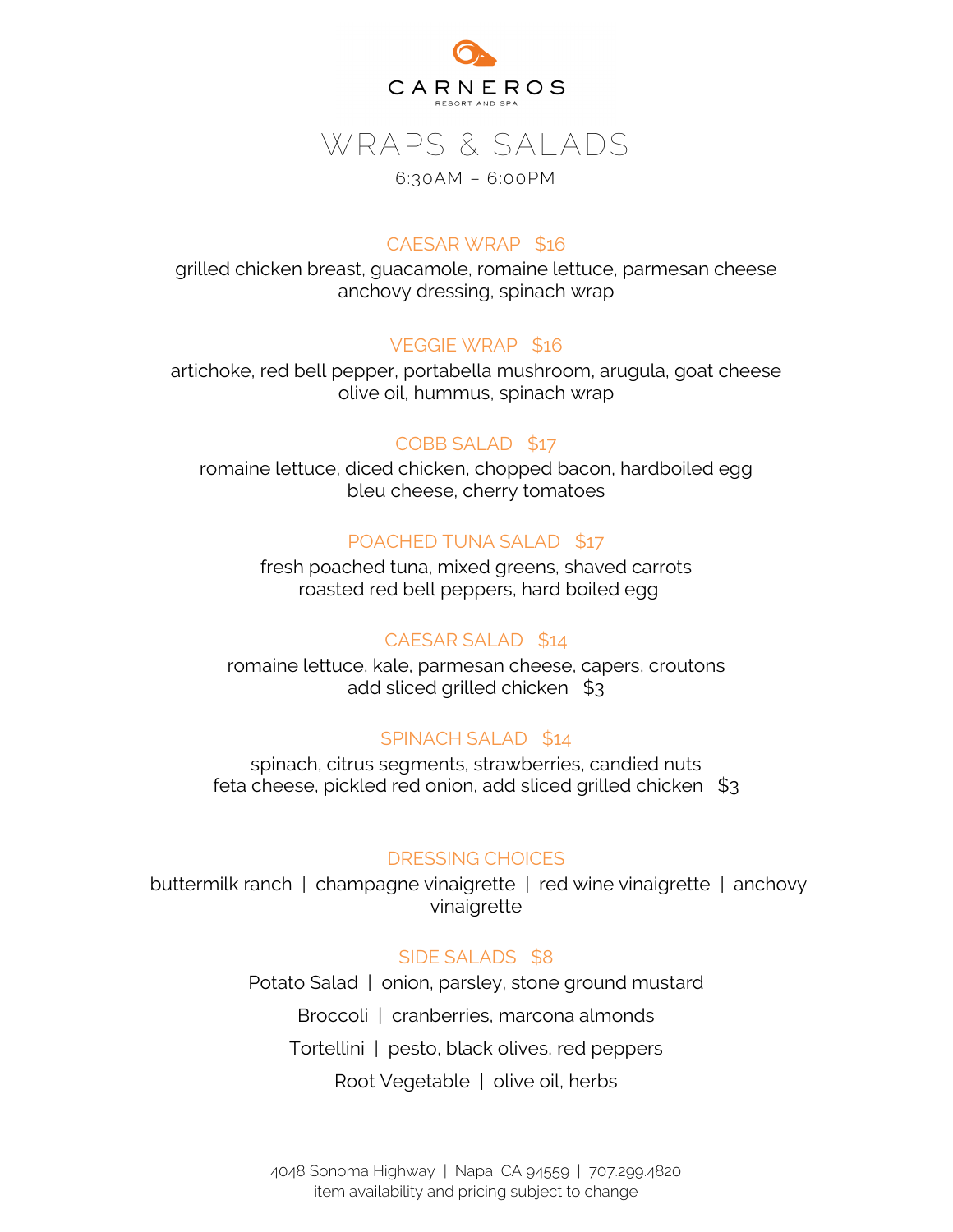

# WRAPS & SALADS

#### 6:30AM – 6:00PM

#### CAESAR WRAP \$16

grilled chicken breast, guacamole, romaine lettuce, parmesan cheese anchovy dressing, spinach wrap

#### VEGGIE WRAP \$16

artichoke, red bell pepper, portabella mushroom, arugula, goat cheese olive oil, hummus, spinach wrap

#### COBB SALAD \$17

romaine lettuce, diced chicken, chopped bacon, hardboiled egg bleu cheese, cherry tomatoes

#### POACHED TUNA SALAD \$17

fresh poached tuna, mixed greens, shaved carrots roasted red bell peppers, hard boiled egg

#### CAESAR SALAD \$14

romaine lettuce, kale, parmesan cheese, capers, croutons add sliced grilled chicken \$3

#### SPINACH SALAD \$14

spinach, citrus segments, strawberries, candied nuts feta cheese, pickled red onion, add sliced grilled chicken \$3

#### DRESSING CHOICES

buttermilk ranch | champagne vinaigrette | red wine vinaigrette | anchovy vinaigrette

#### SIDE SALADS \$8

Potato Salad | onion, parsley, stone ground mustard Broccoli | cranberries, marcona almonds Tortellini | pesto, black olives, red peppers Root Vegetable | olive oil, herbs

4048 Sonoma Highway | Napa, CA 94559 | 707.299.4820 item availability and pricing subject to change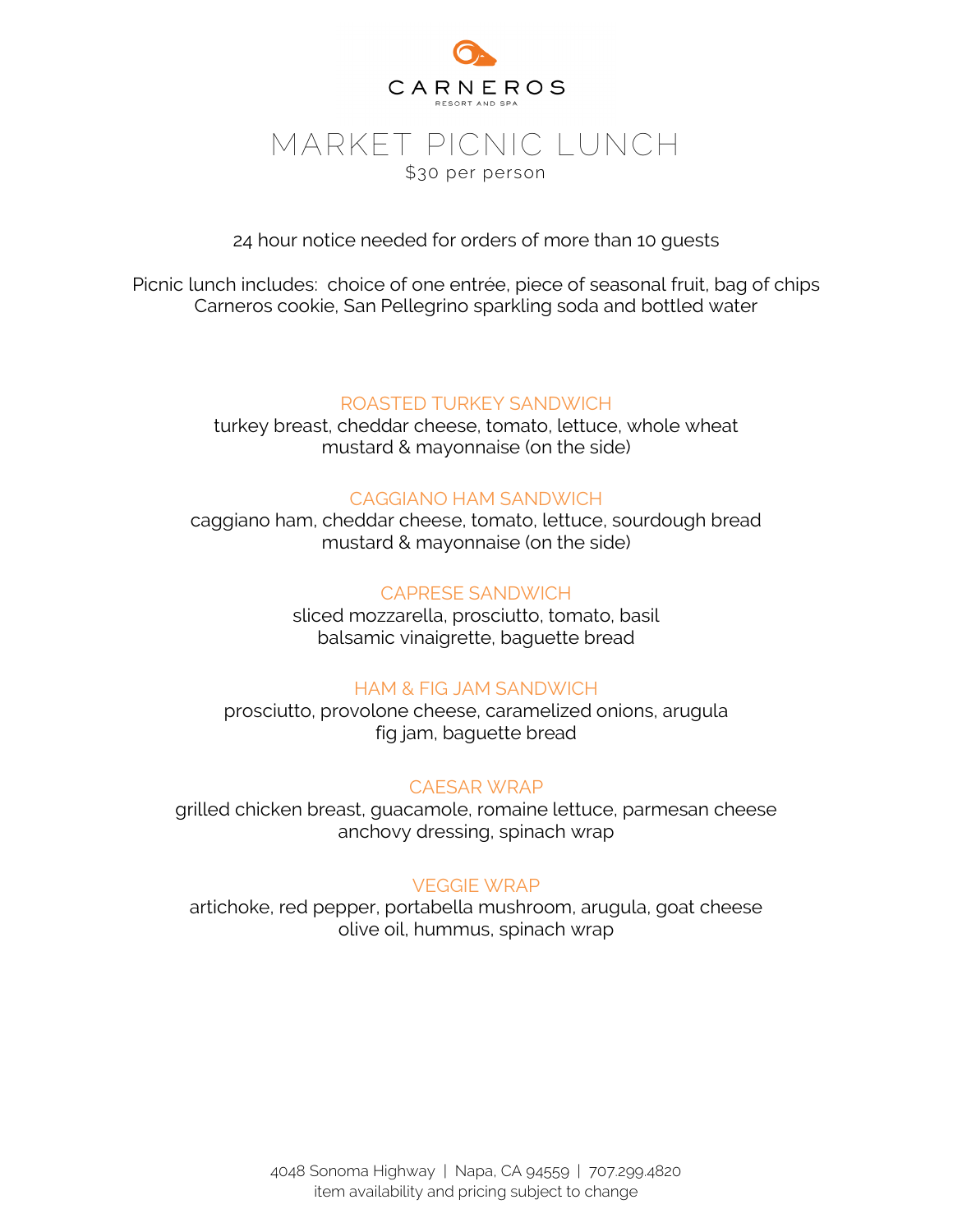

24 hour notice needed for orders of more than 10 guests

Picnic lunch includes: choice of one entrée, piece of seasonal fruit, bag of chips Carneros cookie, San Pellegrino sparkling soda and bottled water

#### ROASTED TURKEY SANDWICH

turkey breast, cheddar cheese, tomato, lettuce, whole wheat mustard & mayonnaise (on the side)

#### CAGGIANO HAM SANDWICH

caggiano ham, cheddar cheese, tomato, lettuce, sourdough bread mustard & mayonnaise (on the side)

#### CAPRESE SANDWICH

sliced mozzarella, prosciutto, tomato, basil balsamic vinaigrette, baguette bread

#### HAM & FIG JAM SANDWICH

prosciutto, provolone cheese, caramelized onions, arugula fig jam, baguette bread

#### CAESAR WRAP

grilled chicken breast, guacamole, romaine lettuce, parmesan cheese anchovy dressing, spinach wrap

#### VEGGIE WRAP

artichoke, red pepper, portabella mushroom, arugula, goat cheese olive oil, hummus, spinach wrap